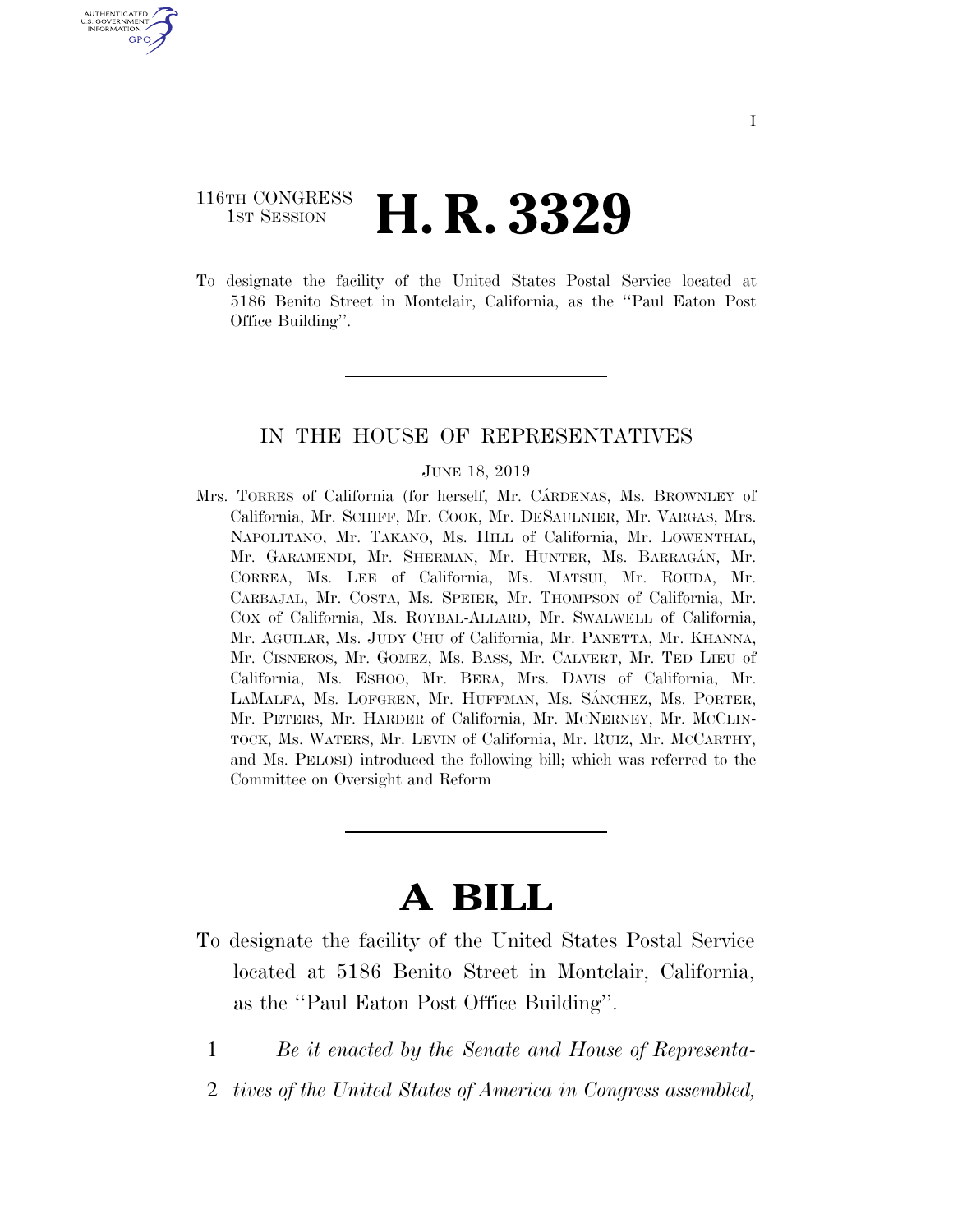## 116TH CONGRESS **1st Session H. R. 3329**

U.S. GOVERNMENT<br>INFORMATION GPO

> To designate the facility of the United States Postal Service located at 5186 Benito Street in Montclair, California, as the ''Paul Eaton Post Office Building''.

### IN THE HOUSE OF REPRESENTATIVES

#### JUNE 18, 2019

Mrs. TORRES of California (for herself, Mr. CATRDENAS, Ms. BROWNLEY of California, Mr. SCHIFF, Mr. COOK, Mr. DESAULNIER, Mr. VARGAS, Mrs. NAPOLITANO, Mr. TAKANO, Ms. HILL of California, Mr. LOWENTHAL, Mr. GARAMENDI, Mr. SHERMAN, Mr. HUNTER, Ms. BARRAGÁN, Mr. CORREA, Ms. LEE of California, Ms. MATSUI, Mr. ROUDA, Mr. CARBAJAL, Mr. COSTA, Ms. SPEIER, Mr. THOMPSON of California, Mr. COX of California, Ms. ROYBAL-ALLARD, Mr. SWALWELL of California, Mr. AGUILAR, Ms. JUDY CHU of California, Mr. PANETTA, Mr. KHANNA, Mr. CISNEROS, Mr. GOMEZ, Ms. BASS, Mr. CALVERT, Mr. TED LIEU of California, Ms. ESHOO, Mr. BERA, Mrs. DAVIS of California, Mr. LAMALFA, Ms. LOFGREN, Mr. HUFFMAN, Ms. SÁNCHEZ, Ms. PORTER, Mr. PETERS, Mr. HARDER of California, Mr. MCNERNEY, Mr. MCCLIN-TOCK, Ms. WATERS, Mr. LEVIN of California, Mr. RUIZ, Mr. MCCARTHY, and Ms. PELOSI) introduced the following bill; which was referred to the Committee on Oversight and Reform

# **A BILL**

- To designate the facility of the United States Postal Service located at 5186 Benito Street in Montclair, California, as the ''Paul Eaton Post Office Building''.
	- 1 *Be it enacted by the Senate and House of Representa-*
	- 2 *tives of the United States of America in Congress assembled,*